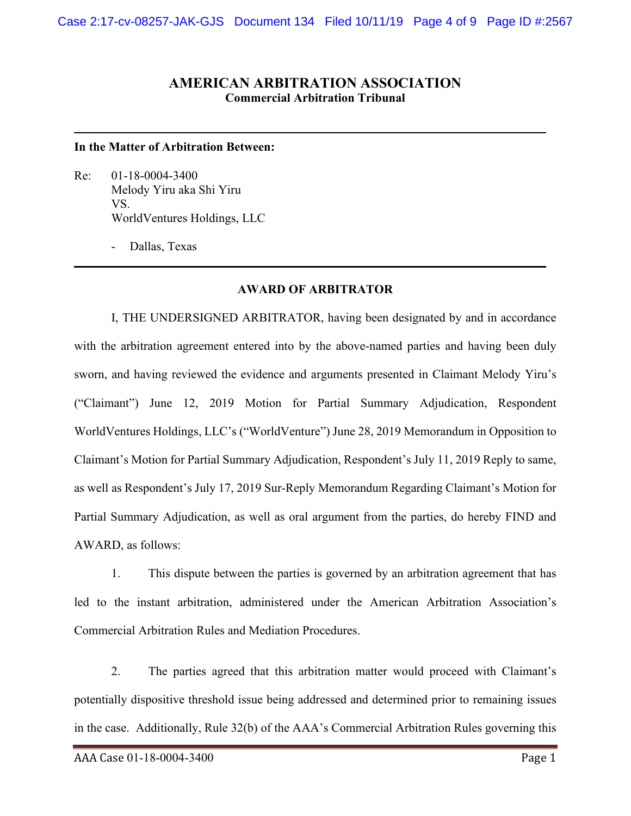## **AMERICAN ARBITRATION ASSOCIATION Commercial Arbitration Tribunal**

## **In the Matter of Arbitration Between:**

Re: 01-18-0004-3400 Melody Yiru aka Shi Yiru VS. WorldVentures Holdings, LLC

- Dallas, Texas

## **AWARD OF ARBITRATOR**

I, THE UNDERSIGNED ARBITRATOR, having been designated by and in accordance with the arbitration agreement entered into by the above-named parties and having been duly sworn, and having reviewed the evidence and arguments presented in Claimant Melody Yiru's ("Claimant") June 12, 2019 Motion for Partial Summary Adjudication, Respondent WorldVentures Holdings, LLC's ("WorldVenture") June 28, 2019 Memorandum in Opposition to Claimant's Motion for Partial Summary Adjudication, Respondent's July 11, 2019 Reply to same, as well as Respondent's July 17, 2019 Sur-Reply Memorandum Regarding Claimant's Motion for Partial Summary Adjudication, as well as oral argument from the parties, do hereby FIND and AWARD, as follows:

1. This dispute between the parties is governed by an arbitration agreement that has led to the instant arbitration, administered under the American Arbitration Association's Commercial Arbitration Rules and Mediation Procedures.

2. The parties agreed that this arbitration matter would proceed with Claimant's potentially dispositive threshold issue being addressed and determined prior to remaining issues in the case. Additionally, Rule 32(b) of the AAA's Commercial Arbitration Rules governing this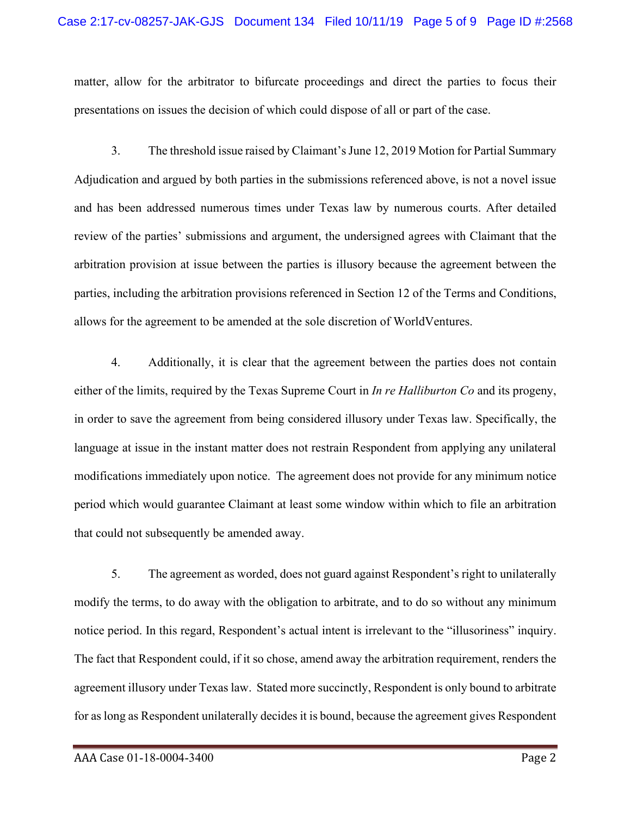matter, allow for the arbitrator to bifurcate proceedings and direct the parties to focus their presentations on issues the decision of which could dispose of all or part of the case.

3. The threshold issue raised by Claimant's June 12, 2019 Motion for Partial Summary Adjudication and argued by both parties in the submissions referenced above, is not a novel issue and has been addressed numerous times under Texas law by numerous courts. After detailed review of the parties' submissions and argument, the undersigned agrees with Claimant that the arbitration provision at issue between the parties is illusory because the agreement between the parties, including the arbitration provisions referenced in Section 12 of the Terms and Conditions, allows for the agreement to be amended at the sole discretion of WorldVentures.

4. Additionally, it is clear that the agreement between the parties does not contain either of the limits, required by the Texas Supreme Court in *In re Halliburton Co* and its progeny, in order to save the agreement from being considered illusory under Texas law. Specifically, the language at issue in the instant matter does not restrain Respondent from applying any unilateral modifications immediately upon notice. The agreement does not provide for any minimum notice period which would guarantee Claimant at least some window within which to file an arbitration that could not subsequently be amended away.

5. The agreement as worded, does not guard against Respondent's right to unilaterally modify the terms, to do away with the obligation to arbitrate, and to do so without any minimum notice period. In this regard, Respondent's actual intent is irrelevant to the "illusoriness" inquiry. The fact that Respondent could, if it so chose, amend away the arbitration requirement, renders the agreement illusory under Texas law. Stated more succinctly, Respondent is only bound to arbitrate for as long as Respondent unilaterally decides it is bound, because the agreement gives Respondent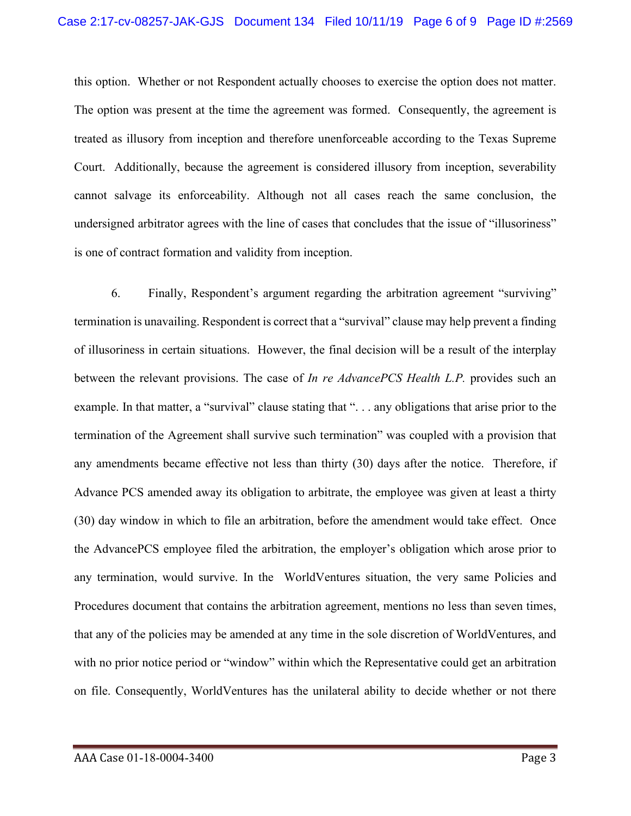this option. Whether or not Respondent actually chooses to exercise the option does not matter. The option was present at the time the agreement was formed. Consequently, the agreement is treated as illusory from inception and therefore unenforceable according to the Texas Supreme Court. Additionally, because the agreement is considered illusory from inception, severability cannot salvage its enforceability. Although not all cases reach the same conclusion, the undersigned arbitrator agrees with the line of cases that concludes that the issue of "illusoriness" is one of contract formation and validity from inception.

6. Finally, Respondent's argument regarding the arbitration agreement "surviving" termination is unavailing. Respondent is correct that a "survival" clause may help prevent a finding of illusoriness in certain situations. However, the final decision will be a result of the interplay between the relevant provisions. The case of *In re AdvancePCS Health L.P.* provides such an example. In that matter, a "survival" clause stating that "... any obligations that arise prior to the termination of the Agreement shall survive such termination" was coupled with a provision that any amendments became effective not less than thirty (30) days after the notice. Therefore, if Advance PCS amended away its obligation to arbitrate, the employee was given at least a thirty (30) day window in which to file an arbitration, before the amendment would take effect. Once the AdvancePCS employee filed the arbitration, the employer's obligation which arose prior to any termination, would survive. In the WorldVentures situation, the very same Policies and Procedures document that contains the arbitration agreement, mentions no less than seven times, that any of the policies may be amended at any time in the sole discretion of WorldVentures, and with no prior notice period or "window" within which the Representative could get an arbitration on file. Consequently, WorldVentures has the unilateral ability to decide whether or not there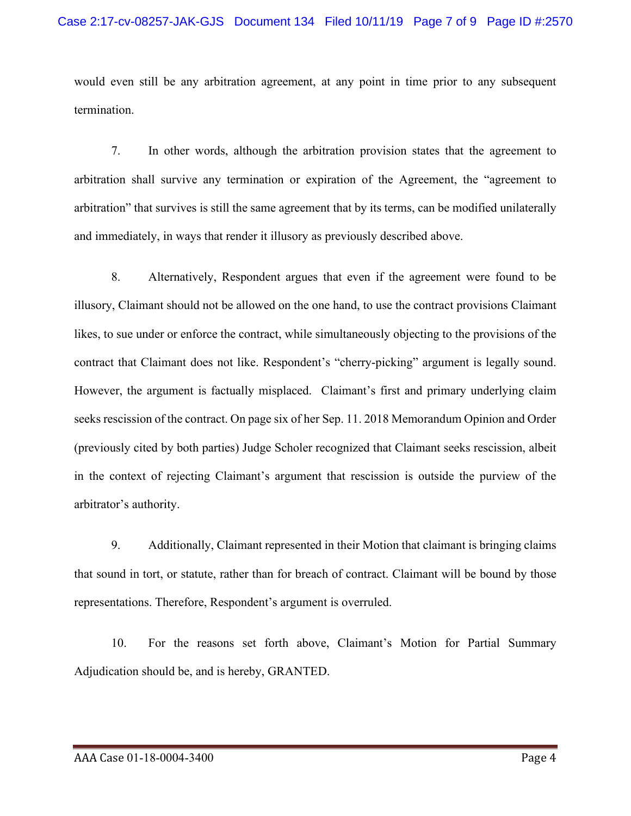would even still be any arbitration agreement, at any point in time prior to any subsequent termination.

7. In other words, although the arbitration provision states that the agreement to arbitration shall survive any termination or expiration of the Agreement, the "agreement to arbitration" that survives is still the same agreement that by its terms, can be modified unilaterally and immediately, in ways that render it illusory as previously described above.

8. Alternatively, Respondent argues that even if the agreement were found to be illusory, Claimant should not be allowed on the one hand, to use the contract provisions Claimant likes, to sue under or enforce the contract, while simultaneously objecting to the provisions of the contract that Claimant does not like. Respondent's "cherry-picking" argument is legally sound. However, the argument is factually misplaced. Claimant's first and primary underlying claim seeks rescission of the contract. On page six of her Sep. 11. 2018 Memorandum Opinion and Order (previously cited by both parties) Judge Scholer recognized that Claimant seeks rescission, albeit in the context of rejecting Claimant's argument that rescission is outside the purview of the arbitrator's authority.

9. Additionally, Claimant represented in their Motion that claimant is bringing claims that sound in tort, or statute, rather than for breach of contract. Claimant will be bound by those representations. Therefore, Respondent's argument is overruled.

10. For the reasons set forth above, Claimant's Motion for Partial Summary Adjudication should be, and is hereby, GRANTED.